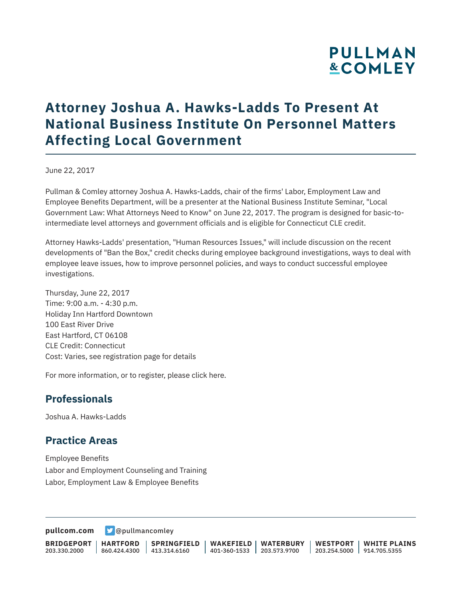# **PULLMAN &COMLEY**

## **Attorney Joshua A. Hawks-Ladds To Present At National Business Institute On Personnel Matters Affecting Local Government**

June 22, 2017

Pullman & Comley attorney Joshua A. Hawks-Ladds, chair of the firms' Labor, Employment Law and Employee Benefits Department, will be a presenter at the National Business Institute Seminar, "Local Government Law: What Attorneys Need to Know" on June 22, 2017. The program is designed for basic-tointermediate level attorneys and government officials and is eligible for Connecticut CLE credit.

Attorney Hawks-Ladds' presentation, "Human Resources Issues," will include discussion on the recent developments of "Ban the Box," credit checks during employee background investigations, ways to deal with employee leave issues, how to improve personnel policies, and ways to conduct successful employee investigations.

Thursday, June 22, 2017 Time: 9:00 a.m. - 4:30 p.m. Holiday Inn Hartford Downtown 100 East River Drive East Hartford, CT 06108 CLE Credit: Connecticut Cost: Varies, see registration page for details

For more information, or to register, please click here.

#### **Professionals**

Joshua A. Hawks-Ladds

#### **Practice Areas**

Employee Benefits Labor and Employment Counseling and Training Labor, Employment Law & Employee Benefits

**[pullcom.com](https://www.pullcom.com) g** [@pullmancomley](https://twitter.com/PullmanComley)